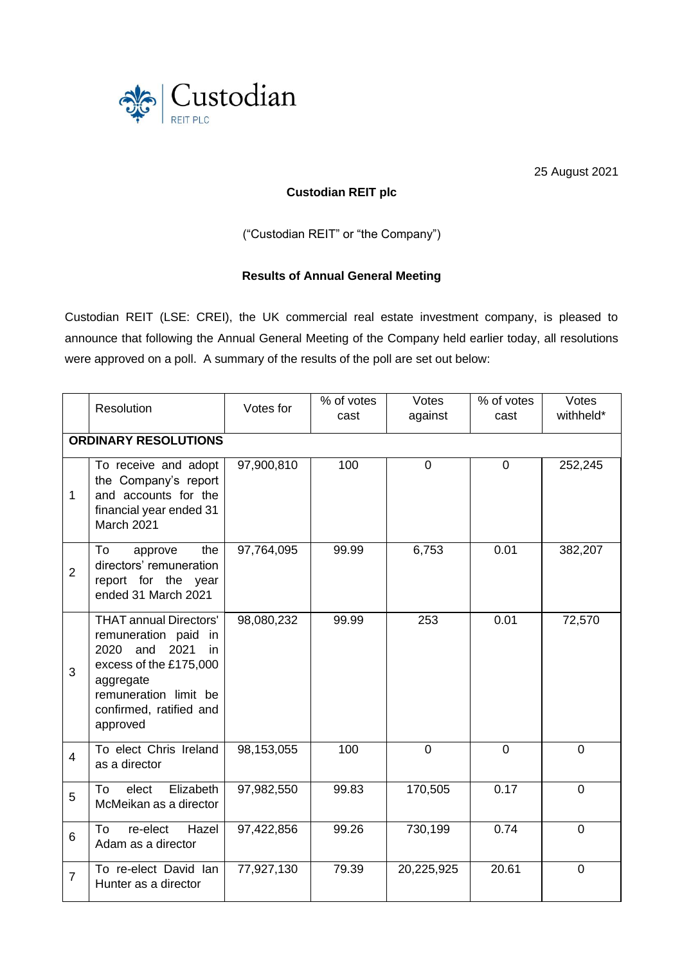

25 August 2021

## **Custodian REIT plc**

("Custodian REIT" or "the Company")

## **Results of Annual General Meeting**

Custodian REIT (LSE: CREI), the UK commercial real estate investment company, is pleased to announce that following the Annual General Meeting of the Company held earlier today, all resolutions were approved on a poll. A summary of the results of the poll are set out below:

|                             | Resolution                                                                                                                                                                                          | Votes for  | % of votes<br>cast | Votes<br>against | % of votes<br>cast | Votes<br>withheld* |  |  |  |  |
|-----------------------------|-----------------------------------------------------------------------------------------------------------------------------------------------------------------------------------------------------|------------|--------------------|------------------|--------------------|--------------------|--|--|--|--|
| <b>ORDINARY RESOLUTIONS</b> |                                                                                                                                                                                                     |            |                    |                  |                    |                    |  |  |  |  |
| 1                           | To receive and adopt<br>the Company's report<br>and accounts for the<br>financial year ended 31<br>March 2021                                                                                       | 97,900,810 | 100                | $\overline{0}$   | $\overline{0}$     | 252,245            |  |  |  |  |
| $\overline{2}$              | To<br>the<br>approve<br>directors' remuneration<br>report for the year<br>ended 31 March 2021                                                                                                       | 97,764,095 | 99.99              | 6,753            | 0.01               | 382,207            |  |  |  |  |
| 3                           | <b>THAT annual Directors'</b><br>remuneration paid<br>in<br>2020<br>and<br>2021<br><i>in</i><br>excess of the £175,000<br>aggregate<br>remuneration limit be<br>confirmed, ratified and<br>approved | 98,080,232 | 99.99              | 253              | 0.01               | 72,570             |  |  |  |  |
| $\overline{4}$              | To elect Chris Ireland<br>as a director                                                                                                                                                             | 98,153,055 | 100                | $\overline{0}$   | $\mathbf 0$        | $\mathbf 0$        |  |  |  |  |
| 5                           | elect<br>Elizabeth<br>To<br>McMeikan as a director                                                                                                                                                  | 97,982,550 | 99.83              | 170,505          | 0.17               | $\overline{0}$     |  |  |  |  |
| 6                           | re-elect<br>Hazel<br>To<br>Adam as a director                                                                                                                                                       | 97,422,856 | 99.26              | 730,199          | 0.74               | $\overline{0}$     |  |  |  |  |
| $\overline{7}$              | To re-elect David Ian<br>Hunter as a director                                                                                                                                                       | 77,927,130 | 79.39              | 20,225,925       | 20.61              | 0                  |  |  |  |  |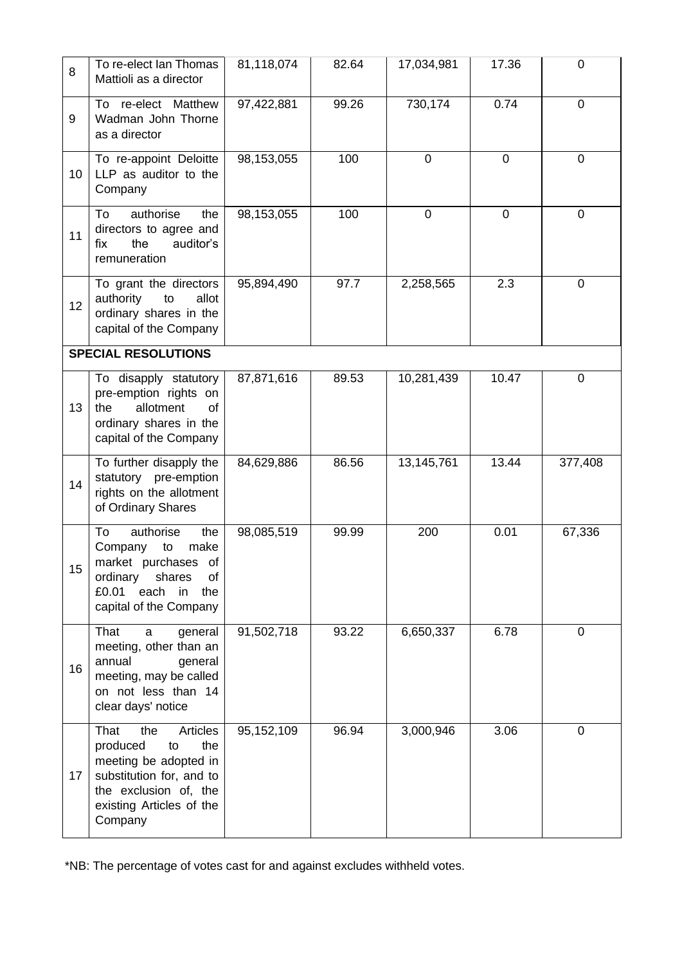| 8                          | To re-elect lan Thomas<br>Mattioli as a director                                                                                                                      | 81,118,074 | 82.64 | 17,034,981  | 17.36     | 0              |  |  |  |
|----------------------------|-----------------------------------------------------------------------------------------------------------------------------------------------------------------------|------------|-------|-------------|-----------|----------------|--|--|--|
| 9                          | To re-elect Matthew<br>Wadman John Thorne<br>as a director                                                                                                            | 97,422,881 | 99.26 | 730,174     | 0.74      | 0              |  |  |  |
| 10                         | To re-appoint Deloitte<br>LLP as auditor to the<br>Company                                                                                                            | 98,153,055 | 100   | $\mathbf 0$ | $\pmb{0}$ | 0              |  |  |  |
| 11                         | To<br>authorise<br>the<br>directors to agree and<br>the<br>auditor's<br>fix<br>remuneration                                                                           | 98,153,055 | 100   | $\mathbf 0$ | 0         | 0              |  |  |  |
| 12                         | To grant the directors<br>authority<br>to<br>allot<br>ordinary shares in the<br>capital of the Company                                                                | 95,894,490 | 97.7  | 2,258,565   | 2.3       | 0              |  |  |  |
| <b>SPECIAL RESOLUTIONS</b> |                                                                                                                                                                       |            |       |             |           |                |  |  |  |
| 13                         | To disapply statutory<br>pre-emption rights on<br>allotment<br>the<br><b>of</b><br>ordinary shares in the<br>capital of the Company                                   | 87,871,616 | 89.53 | 10,281,439  | 10.47     | 0              |  |  |  |
| 14                         | To further disapply the<br>statutory pre-emption<br>rights on the allotment<br>of Ordinary Shares                                                                     | 84,629,886 | 86.56 | 13,145,761  | 13.44     | 377,408        |  |  |  |
| 15                         | authorise<br>To<br>the<br>Company<br>to<br>make<br>market purchases of<br>of<br>ordinary<br>shares<br>£0.01<br>each<br>in<br>the<br>capital of the Company            | 98,085,519 | 99.99 | 200         | 0.01      | 67,336         |  |  |  |
| 16                         | That<br>general<br>a<br>meeting, other than an<br>annual<br>general<br>meeting, may be called<br>on not less than 14<br>clear days' notice                            | 91,502,718 | 93.22 | 6,650,337   | 6.78      | $\overline{0}$ |  |  |  |
| 17                         | the<br>Articles<br>That<br>produced<br>the<br>to<br>meeting be adopted in<br>substitution for, and to<br>the exclusion of, the<br>existing Articles of the<br>Company | 95,152,109 | 96.94 | 3,000,946   | 3.06      | 0              |  |  |  |

\*NB: The percentage of votes cast for and against excludes withheld votes.